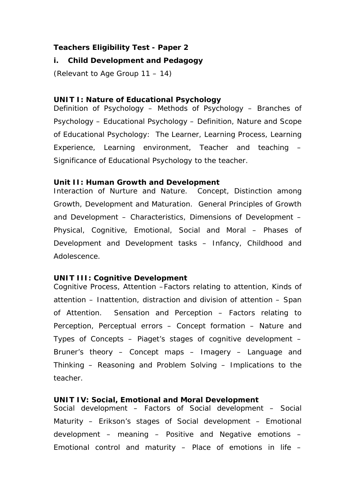# **Teachers Eligibility Test - Paper 2**

# **i. Child Development and Pedagogy**

(Relevant to Age Group 11 – 14)

## **UNIT I: Nature of Educational Psychology**

Definition of Psychology – Methods of Psychology – Branches of Psychology – Educational Psychology – Definition, Nature and Scope of Educational Psychology: The Learner, Learning Process, Learning Experience, Learning environment, Teacher and teaching – Significance of Educational Psychology to the teacher.

## **Unit II: Human Growth and Development**

Interaction of Nurture and Nature. Concept, Distinction among Growth, Development and Maturation. General Principles of Growth and Development – Characteristics, Dimensions of Development – Physical, Cognitive, Emotional, Social and Moral – Phases of Development and Development tasks – Infancy, Childhood and Adolescence.

## **UNIT III: Cognitive Development**

Cognitive Process, Attention –Factors relating to attention, Kinds of attention – Inattention, distraction and division of attention – Span of Attention. Sensation and Perception – Factors relating to Perception, Perceptual errors – Concept formation – Nature and Types of Concepts – Piaget's stages of cognitive development – Bruner's theory – Concept maps – Imagery – Language and Thinking – Reasoning and Problem Solving – Implications to the teacher.

## **UNIT IV: Social, Emotional and Moral Development**

Social development – Factors of Social development – Social Maturity – Erikson's stages of Social development – Emotional development – meaning – Positive and Negative emotions – Emotional control and maturity – Place of emotions in life –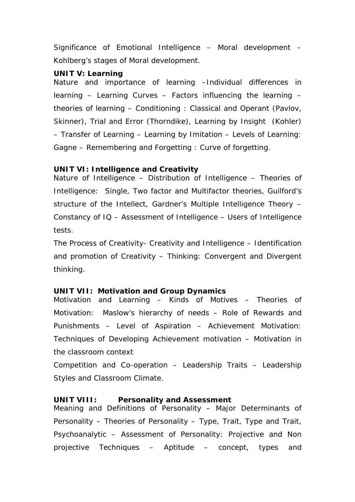Significance of Emotional Intelligence – Moral development – Kohlberg's stages of Moral development.

#### **UNIT V: Learning**

Nature and importance of learning –Individual differences in learning – Learning Curves – Factors influencing the learning – theories of learning – Conditioning : Classical and Operant (Pavlov, Skinner), Trial and Error (Thorndike), Learning by Insight (Kohler) – Transfer of Learning – Learning by Imitation – Levels of Learning: Gagne – Remembering and Forgetting : Curve of forgetting.

## **UNIT VI: Intelligence and Creativity**

Nature of Intelligence – Distribution of Intelligence – Theories of Intelligence: Single, Two factor and Multifactor theories, Guilford's structure of the Intellect, Gardner's Multiple Intelligence Theory – Constancy of IQ – Assessment of Intelligence – Users of Intelligence tests.

The Process of Creativity- Creativity and Intelligence – Identification and promotion of Creativity – Thinking: Convergent and Divergent thinking.

## **UNIT VII: Motivation and Group Dynamics**

Motivation and Learning – Kinds of Motives – Theories of Motivation: Maslow's hierarchy of needs – Role of Rewards and Punishments – Level of Aspiration – Achievement Motivation: Techniques of Developing Achievement motivation – Motivation in the classroom context

Competition and Co-operation – Leadership Traits – Leadership Styles and Classroom Climate.

## **UNIT VIII: Personality and Assessment**

Meaning and Definitions of Personality – Major Determinants of Personality – Theories of Personality – Type, Trait, Type and Trait, Psychoanalytic – Assessment of Personality: Projective and Non projective Techniques – Aptitude – concept, types and